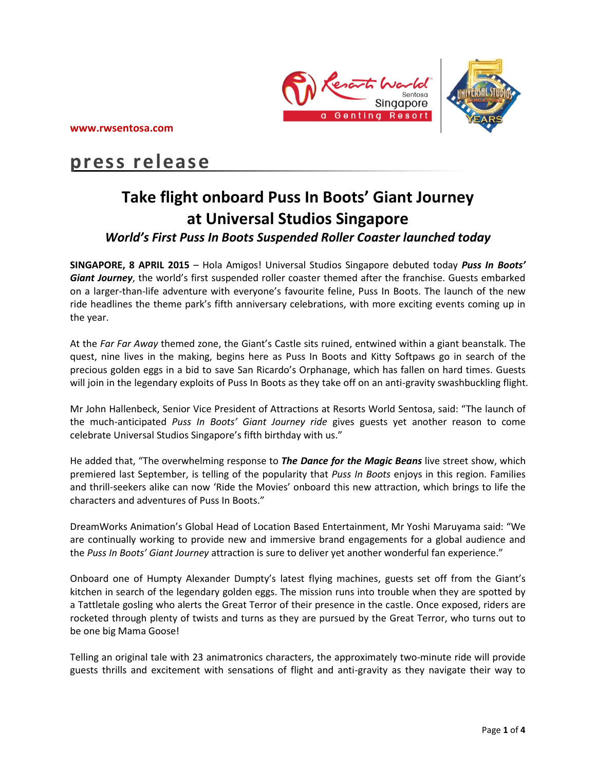



# **press release**

# **Take flight onboard Puss In Boots' Giant Journey at Universal Studios Singapore**

# *World's First Puss In Boots Suspended Roller Coaster launched today*

**SINGAPORE, 8 APRIL 2015** – Hola Amigos! Universal Studios Singapore debuted today *Puss In Boots' Giant Journey*, the world's first suspended roller coaster themed after the franchise. Guests embarked on a larger-than-life adventure with everyone's favourite feline, Puss In Boots. The launch of the new ride headlines the theme park's fifth anniversary celebrations, with more exciting events coming up in the year.

At the *Far Far Away* themed zone, the Giant's Castle sits ruined, entwined within a giant beanstalk. The quest, nine lives in the making, begins here as Puss In Boots and Kitty Softpaws go in search of the precious golden eggs in a bid to save San Ricardo's Orphanage, which has fallen on hard times. Guests will join in the legendary exploits of Puss In Boots as they take off on an anti-gravity swashbuckling flight.

Mr John Hallenbeck, Senior Vice President of Attractions at Resorts World Sentosa, said: "The launch of the much-anticipated *Puss In Boots' Giant Journey ride* gives guests yet another reason to come celebrate Universal Studios Singapore's fifth birthday with us."

He added that, "The overwhelming response to *The Dance for the Magic Beans* live street show, which premiered last September, is telling of the popularity that *Puss In Boots* enjoys in this region. Families and thrill-seekers alike can now 'Ride the Movies' onboard this new attraction, which brings to life the characters and adventures of Puss In Boots."

DreamWorks Animation's Global Head of Location Based Entertainment, Mr Yoshi Maruyama said: "We are continually working to provide new and immersive brand engagements for a global audience and the *Puss In Boots' Giant Journey* attraction is sure to deliver yet another wonderful fan experience."

Onboard one of Humpty Alexander Dumpty's latest flying machines, guests set off from the Giant's kitchen in search of the legendary golden eggs. The mission runs into trouble when they are spotted by a Tattletale gosling who alerts the Great Terror of their presence in the castle. Once exposed, riders are rocketed through plenty of twists and turns as they are pursued by the Great Terror, who turns out to be one big Mama Goose!

Telling an original tale with 23 animatronics characters, the approximately two-minute ride will provide guests thrills and excitement with sensations of flight and anti-gravity as they navigate their way to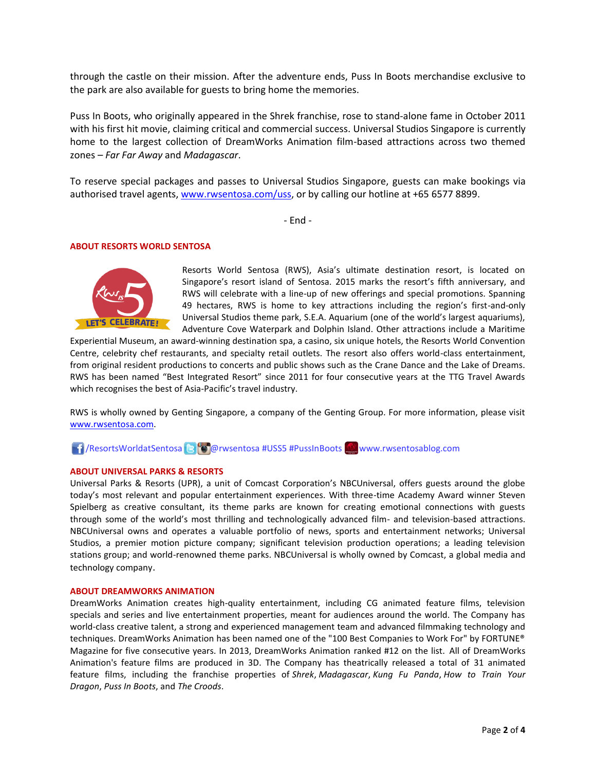through the castle on their mission. After the adventure ends, Puss In Boots merchandise exclusive to the park are also available for guests to bring home the memories.

Puss In Boots, who originally appeared in the Shrek franchise, rose to stand-alone fame in October 2011 with his first hit movie, claiming critical and commercial success. Universal Studios Singapore is currently home to the largest collection of DreamWorks Animation film-based attractions across two themed zones – *Far Far Away* and *Madagascar*.

To reserve special packages and passes to Universal Studios Singapore, guests can make bookings via authorised travel agents, [www.rwsentosa.com/uss,](http://www.rwsentosa.com/uss) or by calling our hotline at +65 6577 8899.

- End -

#### **ABOUT RESORTS WORLD SENTOSA**



Resorts World Sentosa (RWS), Asia's ultimate destination resort, is located on Singapore's resort island of Sentosa. 2015 marks the resort's fifth anniversary, and RWS will celebrate with a line-up of new offerings and special promotions. Spanning 49 hectares, RWS is home to key attractions including the region's first-and-only Universal Studios theme park, S.E.A. Aquarium (one of the world's largest aquariums), Adventure Cove Waterpark and Dolphin Island. Other attractions include a Maritime

Experiential Museum, an award-winning destination spa, a casino, six unique hotels, the Resorts World Convention Centre, celebrity chef restaurants, and specialty retail outlets. The resort also offers world-class entertainment, from original resident productions to concerts and public shows such as the Crane Dance and the Lake of Dreams. RWS has been named "Best Integrated Resort" since 2011 for four consecutive years at the TTG Travel Awards which recognises the best of Asia-Pacific's travel industry.

RWS is wholly owned by Genting Singapore, a company of the Genting Group. For more information, please visit [www.rwsentosa.com.](http://www.rwsentosa.com/)

**16** / ResortsWorldatSentosa **@rwsentosa #USS5 #PussInBoots www.rwsentosablog.com** 

### **ABOUT UNIVERSAL PARKS & RESORTS**

Universal Parks & Resorts (UPR), a unit of Comcast Corporation's NBCUniversal, offers guests around the globe today's most relevant and popular entertainment experiences. With three-time Academy Award winner Steven Spielberg as creative consultant, its theme parks are known for creating emotional connections with guests through some of the world's most thrilling and technologically advanced film- and television-based attractions. NBCUniversal owns and operates a valuable portfolio of news, sports and entertainment networks; Universal Studios, a premier motion picture company; significant television production operations; a leading television stations group; and world-renowned theme parks. NBCUniversal is wholly owned by Comcast, a global media and technology company.

#### **ABOUT DREAMWORKS ANIMATION**

DreamWorks Animation creates high-quality entertainment, including CG animated feature films, television specials and series and live entertainment properties, meant for audiences around the world. The Company has world-class creative talent, a strong and experienced management team and advanced filmmaking technology and techniques. DreamWorks Animation has been named one of the "100 Best Companies to Work For" by FORTUNE® Magazine for five consecutive years. In 2013, DreamWorks Animation ranked #12 on the list. All of DreamWorks Animation's feature films are produced in 3D. The Company has theatrically released a total of 31 animated feature films, including the franchise properties of *Shrek*, *Madagascar*, *Kung Fu Panda*, *How to Train Your Dragon*, *Puss In Boots*, and *The Croods*.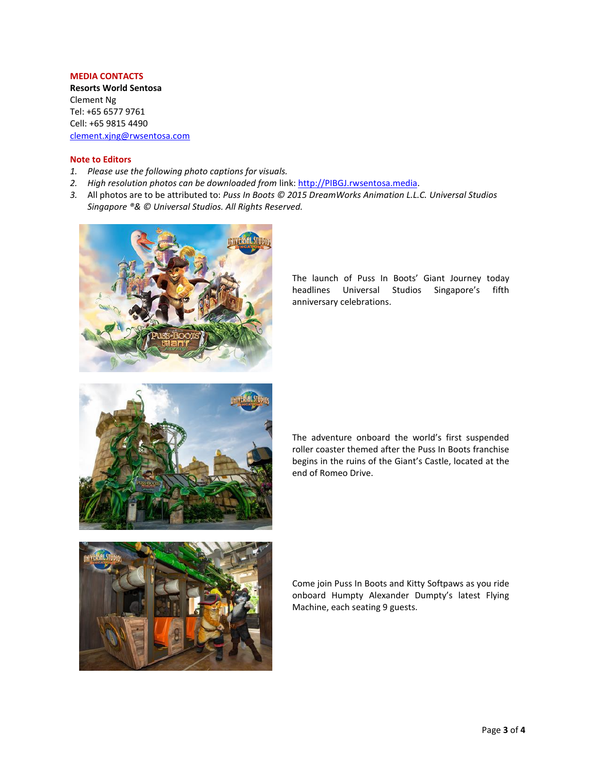### **MEDIA CONTACTS**

**Resorts World Sentosa** Clement Ng Tel: +65 6577 9761 Cell: +65 9815 4490 [clement.xjng@rwsentosa.com](mailto:clement.xjng@rwsentosa.com)

#### **Note to Editors**

- *1. Please use the following photo captions for visuals.*
- *2. High resolution photos can be downloaded from* link: [http://PIBGJ.rwsentosa.media.](http://pib.rwsentosa.media/)
- *3.* All photos are to be attributed to: *Puss In Boots © 2015 DreamWorks Animation L.L.C. Universal Studios Singapore ®& © Universal Studios. All Rights Reserved.*



The launch of Puss In Boots' Giant Journey today headlines Universal Studios Singapore's fifth anniversary celebrations.



The adventure onboard the world's first suspended roller coaster themed after the Puss In Boots franchise begins in the ruins of the Giant's Castle, located at the end of Romeo Drive.



Come join Puss In Boots and Kitty Softpaws as you ride onboard Humpty Alexander Dumpty's latest Flying Machine, each seating 9 guests.